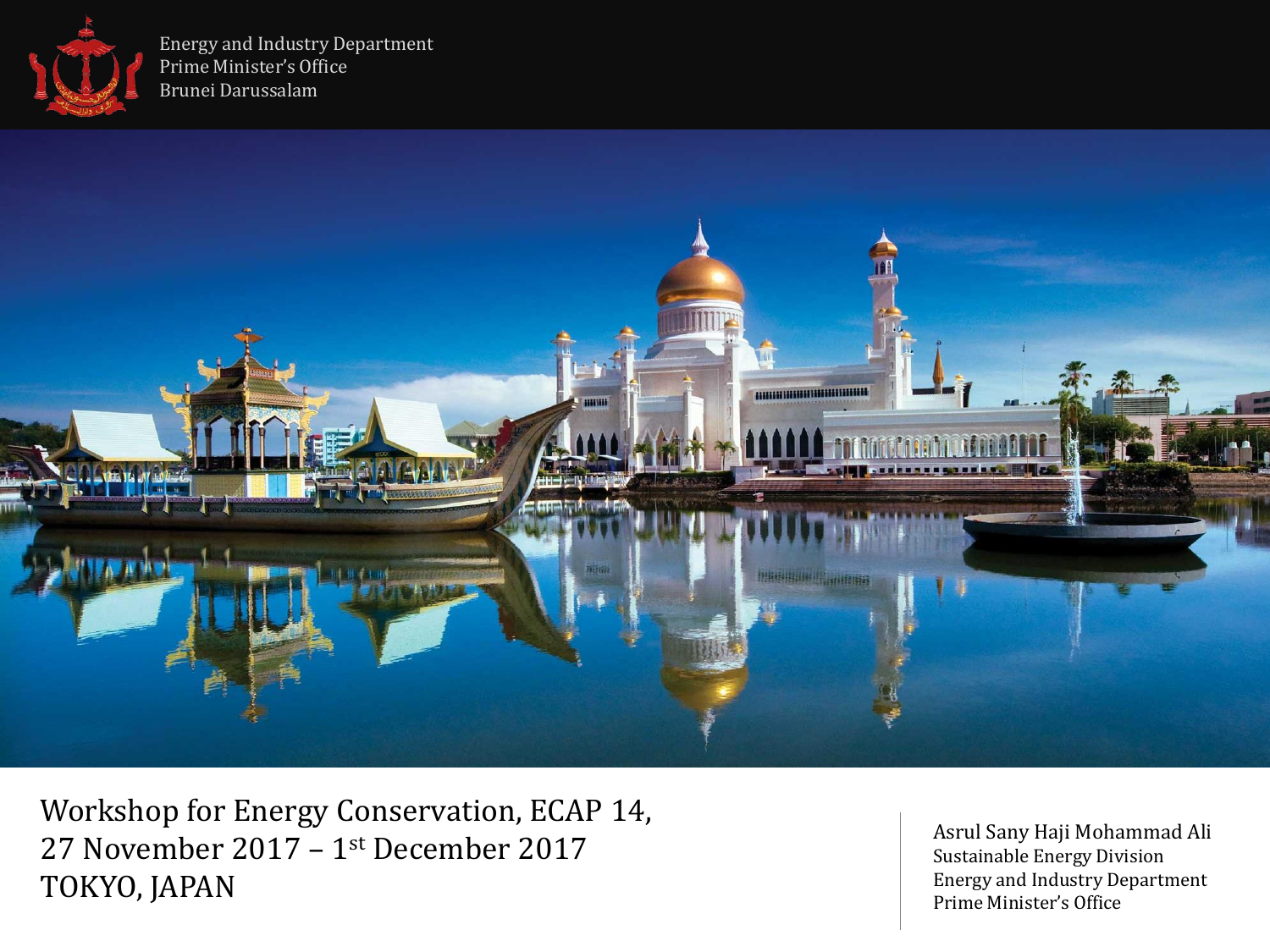

Energy and Industry Department Prime Minister's Office Brunei Darussalam



Workshop for Energy Conservation, ECAP 14, 27 November 2017 – 1 st December 2017 TOKYO, JAPAN

Asrul Sany Haji Mohammad Ali Sustainable Energy Division Energy and Industry Department Prime Minister's Office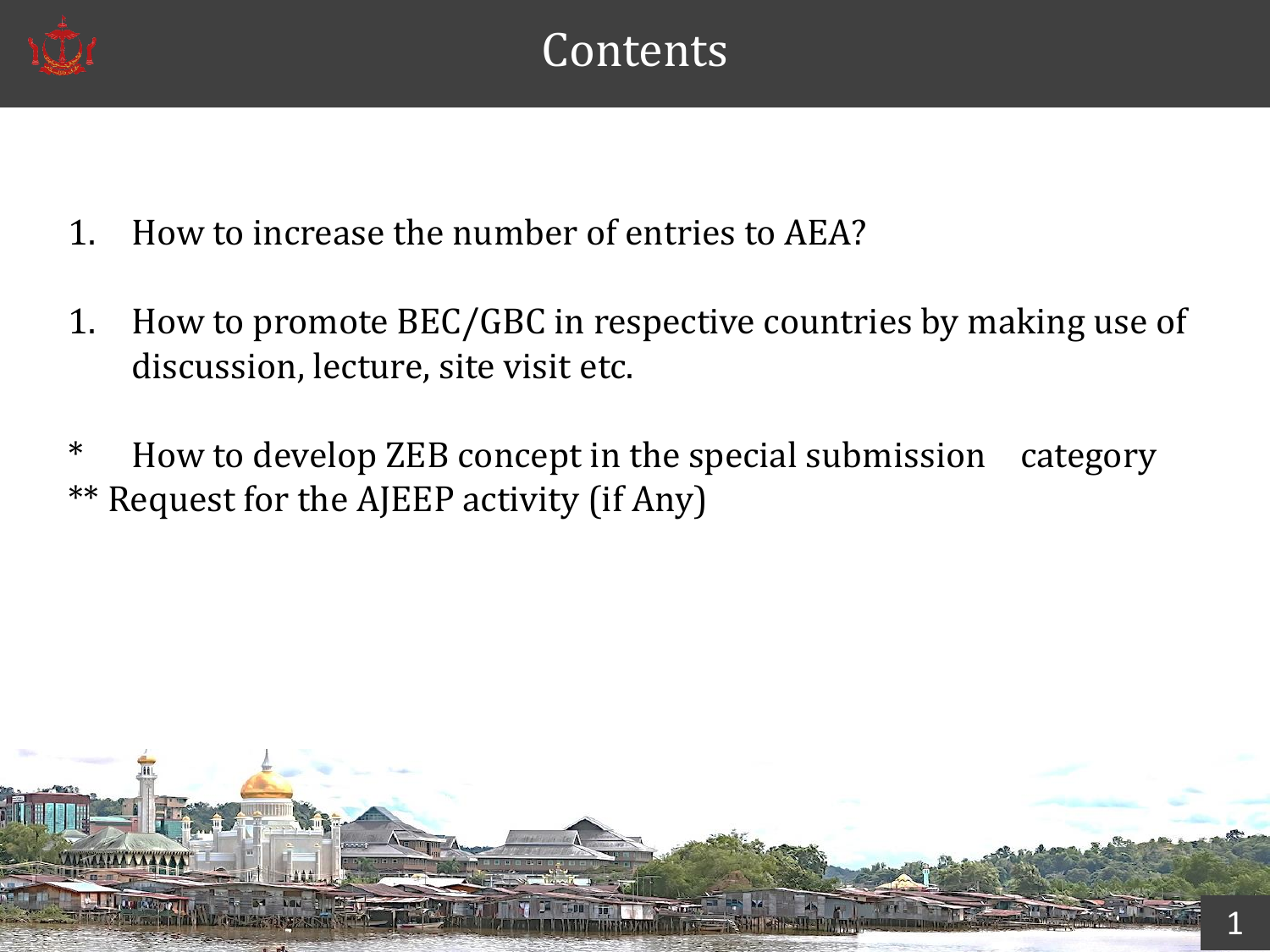

- 1. How to increase the number of entries to AEA?
- 1. How to promote BEC/GBC in respective countries by making use of discussion, lecture, site visit etc.
- \* How to develop ZEB concept in the special submission category \*\* Request for the AJEEP activity (if Any)

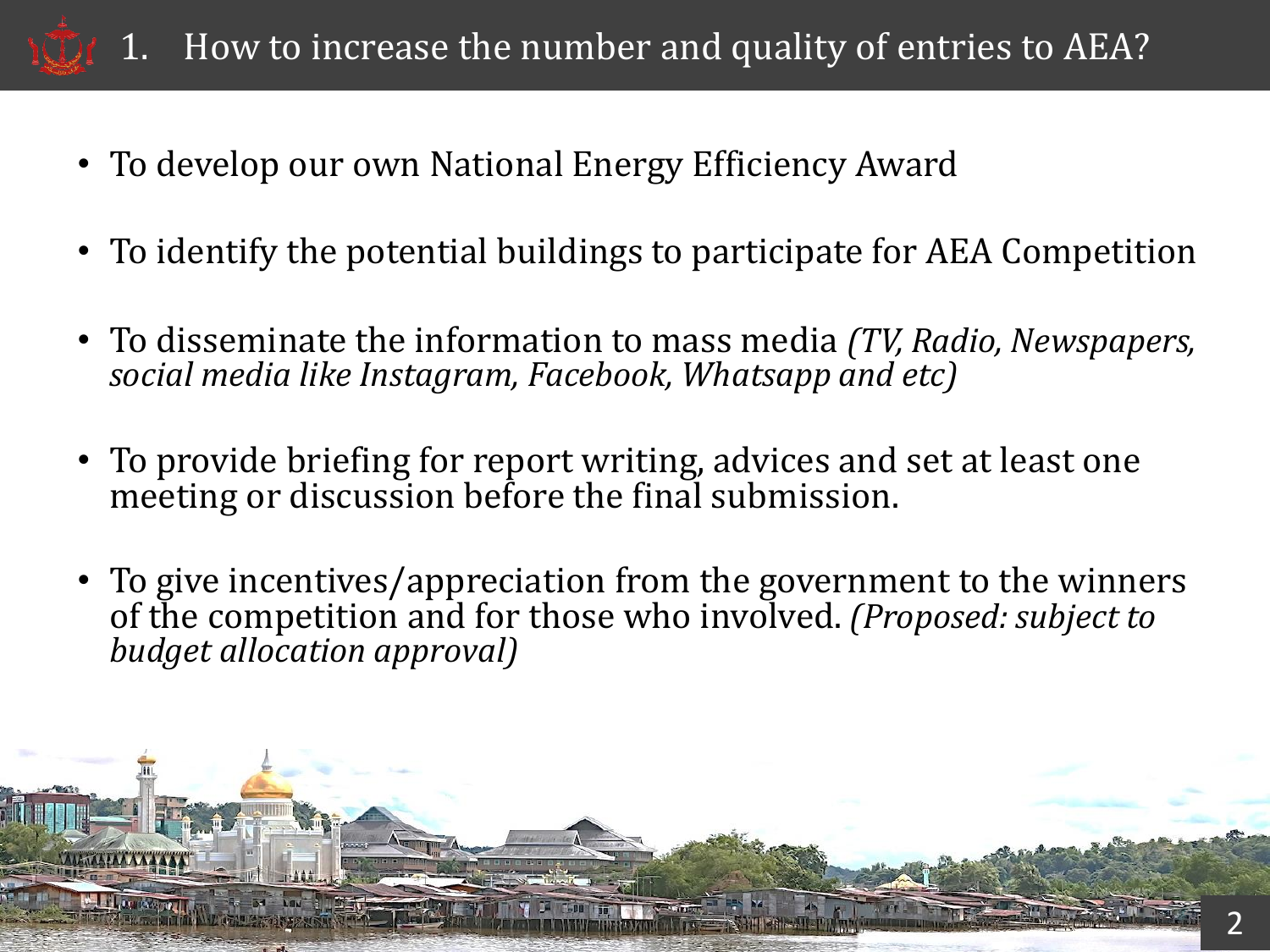

- To develop our own National Energy Efficiency Award
- To identify the potential buildings to participate for AEA Competition
- To disseminate the information to mass media *(TV, Radio, Newspapers, social media like Instagram, Facebook, Whatsapp and etc)*
- To provide briefing for report writing, advices and set at least one meeting or discussion before the final submission.
- To give incentives/appreciation from the government to the winners of the competition and for those who involved. *(Proposed: subject to budget allocation approval)*

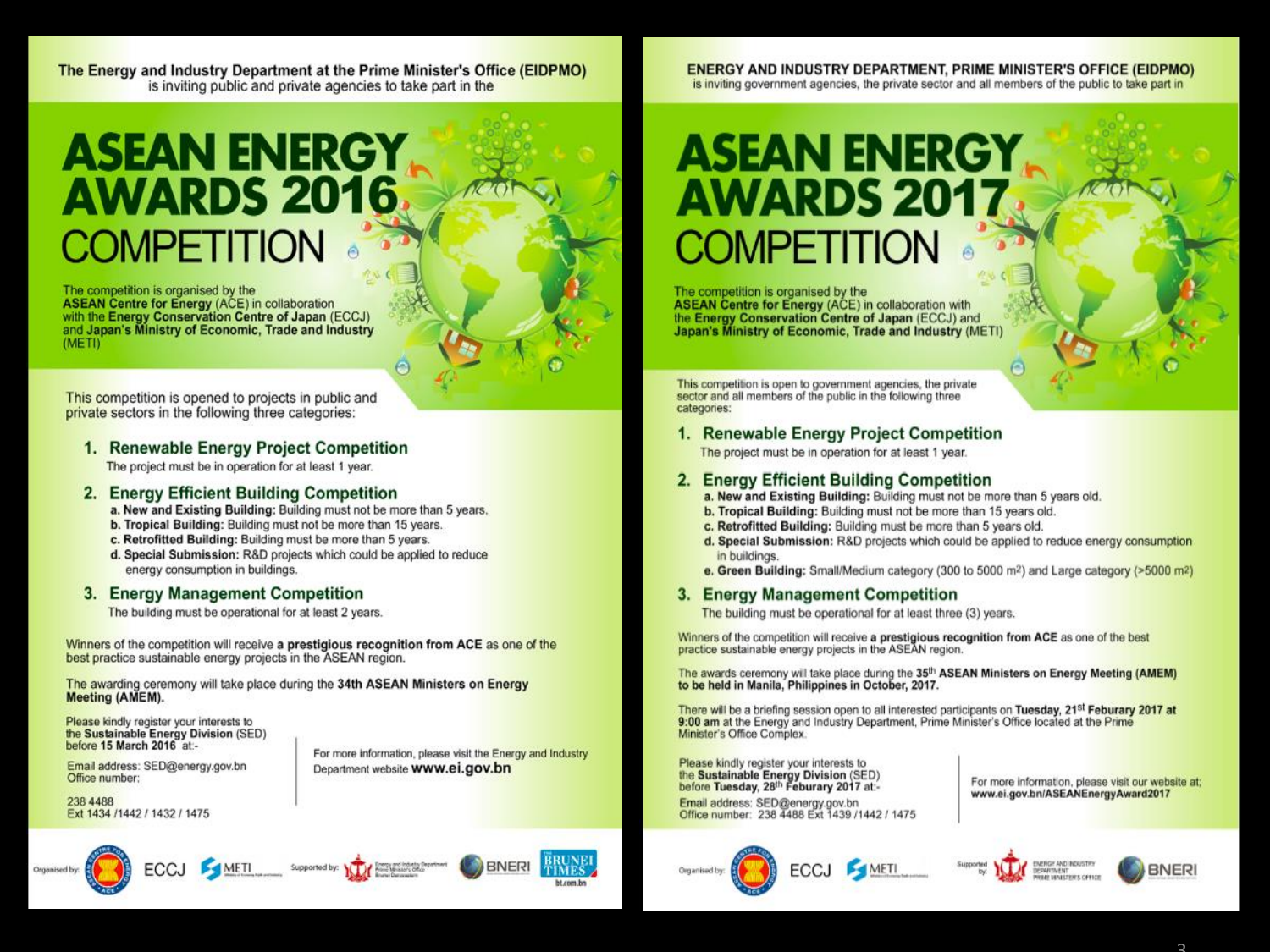The Energy and Industry Department at the Prime Minister's Office (EIDPMO) is inviting public and private agencies to take part in the

### **ASEAN ENERGY AWARDS 2016 COMPETITION**

The competition is organised by the ASEAN Centre for Energy (ACE) in collaboration<br>with the Energy Conservation Centre of Japan (ECCJ)<br>and Japan's Ministry of Economic, Trade and Industry  $(METI)$ 

This competition is opened to projects in public and private sectors in the following three categories:

### 1. Renewable Energy Project Competition

The project must be in operation for at least 1 year.

### 2. Energy Efficient Building Competition

a. New and Existing Building: Building must not be more than 5 years.

e

- b. Tropical Building: Building must not be more than 15 years.
- c. Retrofitted Building: Building must be more than 5 years.
- d. Special Submission: R&D projects which could be applied to reduce energy consumption in buildings.

### 3. Energy Management Competition

The building must be operational for at least 2 years.

Winners of the competition will receive a prestigious recognition from ACE as one of the best practice sustainable energy projects in the ASEAN region.

The awarding ceremony will take place during the 34th ASEAN Ministers on Energy Meeting (AMEM).

Please kindly register your interests to the Sustainable Energy Division (SED) before 15 March 2016 at:-

Email address: SED@energy.gov.bn Office number:

For more information, please visit the Energy and Industry Department website **WWW.ei.gov.bn** 

238 4488 Ext 1434 /1442 / 1432 / 1475







#### **ENERGY AND INDUSTRY DEPARTMENT, PRIME MINISTER'S OFFICE (EIDPMO)** is inviting government agencies, the private sector and all members of the public to take part in

## **ASEAN ENERGY AWARDS 2017 COMPETITION**

The competition is organised by the<br>ASEAN Centre for Energy (ACE) in collaboration with the Energy Conservation Centre of Japan (ECCJ) and Japan's Ministry of Economic, Trade and Industry (METI)

This competition is open to government agencies, the private sector and all members of the public in the following three categories:

#### 1. Renewable Energy Project Competition

The project must be in operation for at least 1 year.

### 2. Energy Efficient Building Competition

- a. New and Existing Building: Building must not be more than 5 years old.
- b. Tropical Building: Building must not be more than 15 years old.
- c. Retrofitted Building: Building must be more than 5 years old.
- d. Special Submission: R&D projects which could be applied to reduce energy consumption in buildings.
- e. Green Building: Small/Medium category (300 to 5000 m<sup>2</sup>) and Large category ( $>5000$  m<sup>2</sup>)

### 3. Energy Management Competition

The building must be operational for at least three (3) years.

Winners of the competition will receive a prestigious recognition from ACE as one of the best practice sustainable energy projects in the ASEAN region.

The awards ceremony will take place during the 35<sup>th</sup> ASEAN Ministers on Energy Meeting (AMEM)<br>to be held in Manila, Philippines in October, 2017.

There will be a briefing session open to all interested participants on Tuesday, 21<sup>st</sup> Feburary 2017 at 9:00 am at the Energy and Industry Department, Prime Minister's Office located at the Prime Minister's Office Complex.

Please kindly register your interests to<br>the Sustainable Energy Division (SED)<br>before Tuesday, 28<sup>th</sup> Feburary 2017 at:-

Email address: SED@energy.gov.bn Office number: 238 4488 Ext 1439 /1442 / 1475 For more information, please visit our website at; www.ei.gov.bn/ASEANEnergyAward2017





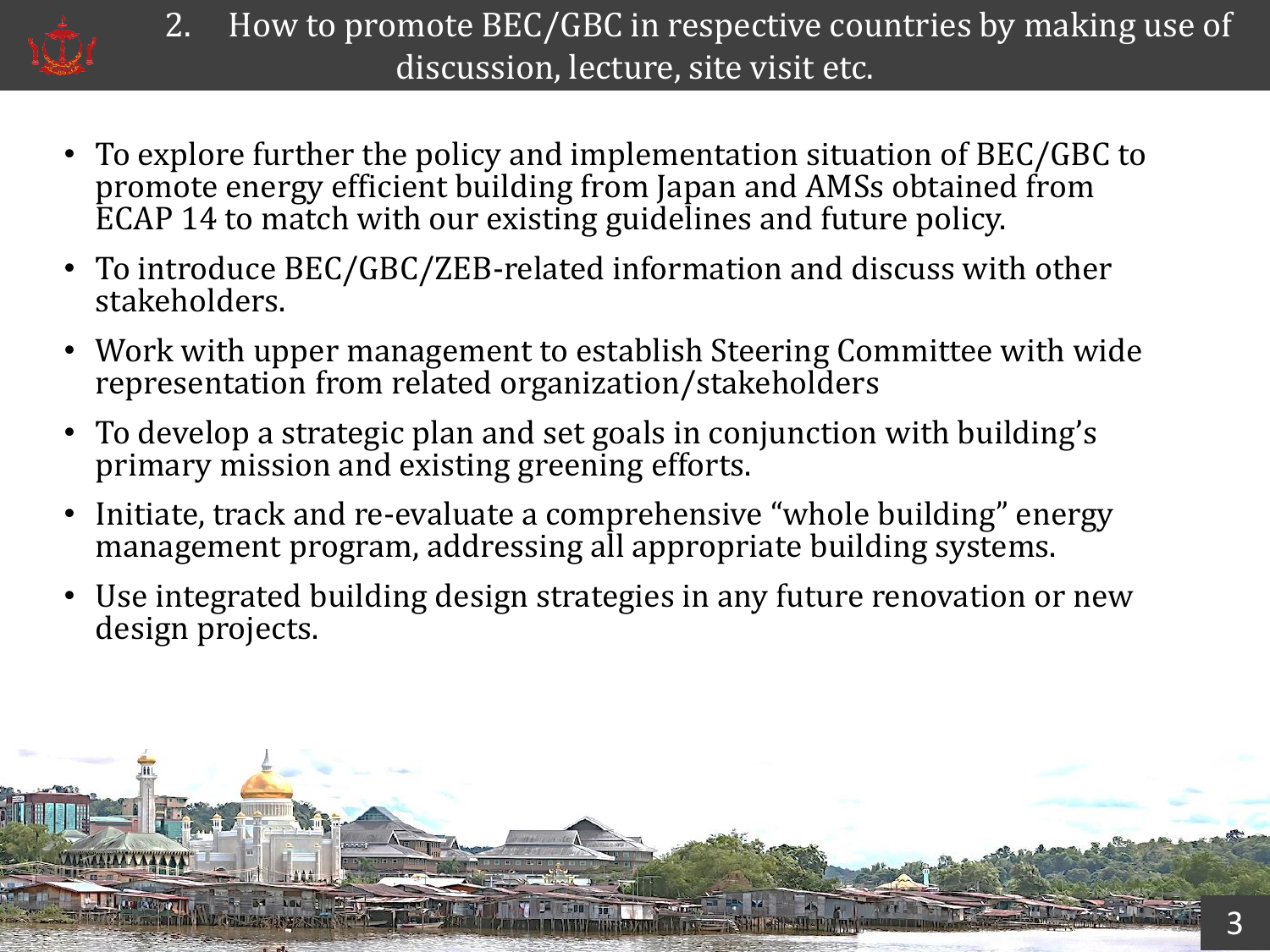

- 2. How to promote BEC/GBC in respective countries by making use of discussion, lecture, site visit etc.
- To explore further the policy and implementation situation of BEC/GBC to promote energy efficient building from Japan and AMSs obtained from ECAP 14 to match with our existing guidelines and future policy.
- To introduce BEC/GBC/ZEB-related information and discuss with other stakeholders.
- Work with upper management to establish Steering Committee with wide representation from related organization/stakeholders
- To develop a strategic plan and set goals in conjunction with building's primary mission and existing greening efforts.
- Initiate, track and re-evaluate a comprehensive "whole building" energy management program, addressing all appropriate building systems.
- Use integrated building design strategies in any future renovation or new design projects.

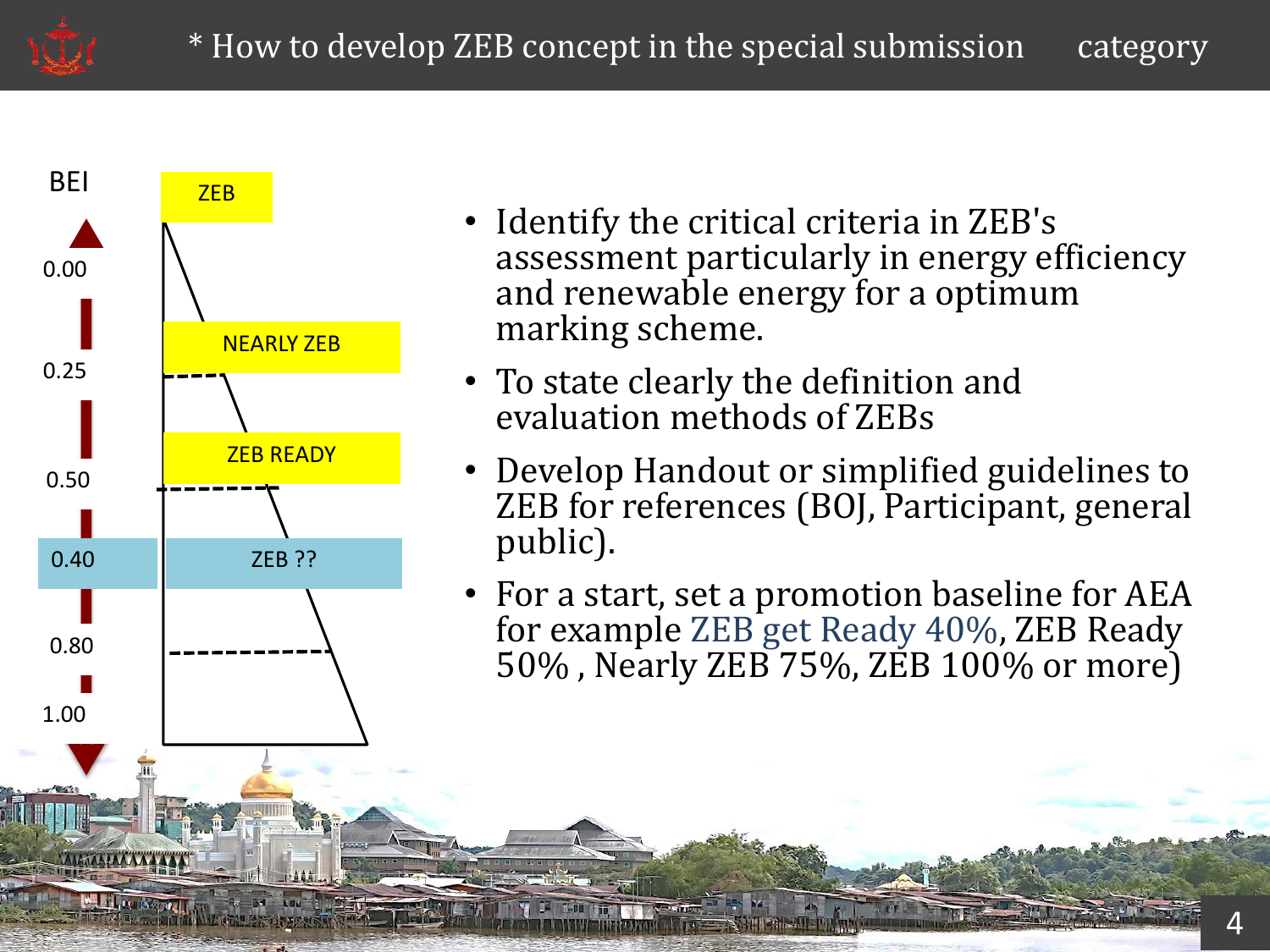



- Identify the critical criteria in ZEB's assessment particularly in energy efficiency and renewable energy for a optimum marking scheme.
- To state clearly the definition and evaluation methods of ZEBs
- Develop Handout or simplified guidelines to ZEB for references (BOJ, Participant, general public).
- For a start, set a promotion baseline for AEA for example ZEB get Ready 40%, ZEB Ready 50% , Nearly ZEB 75%, ZEB 100% or more)

5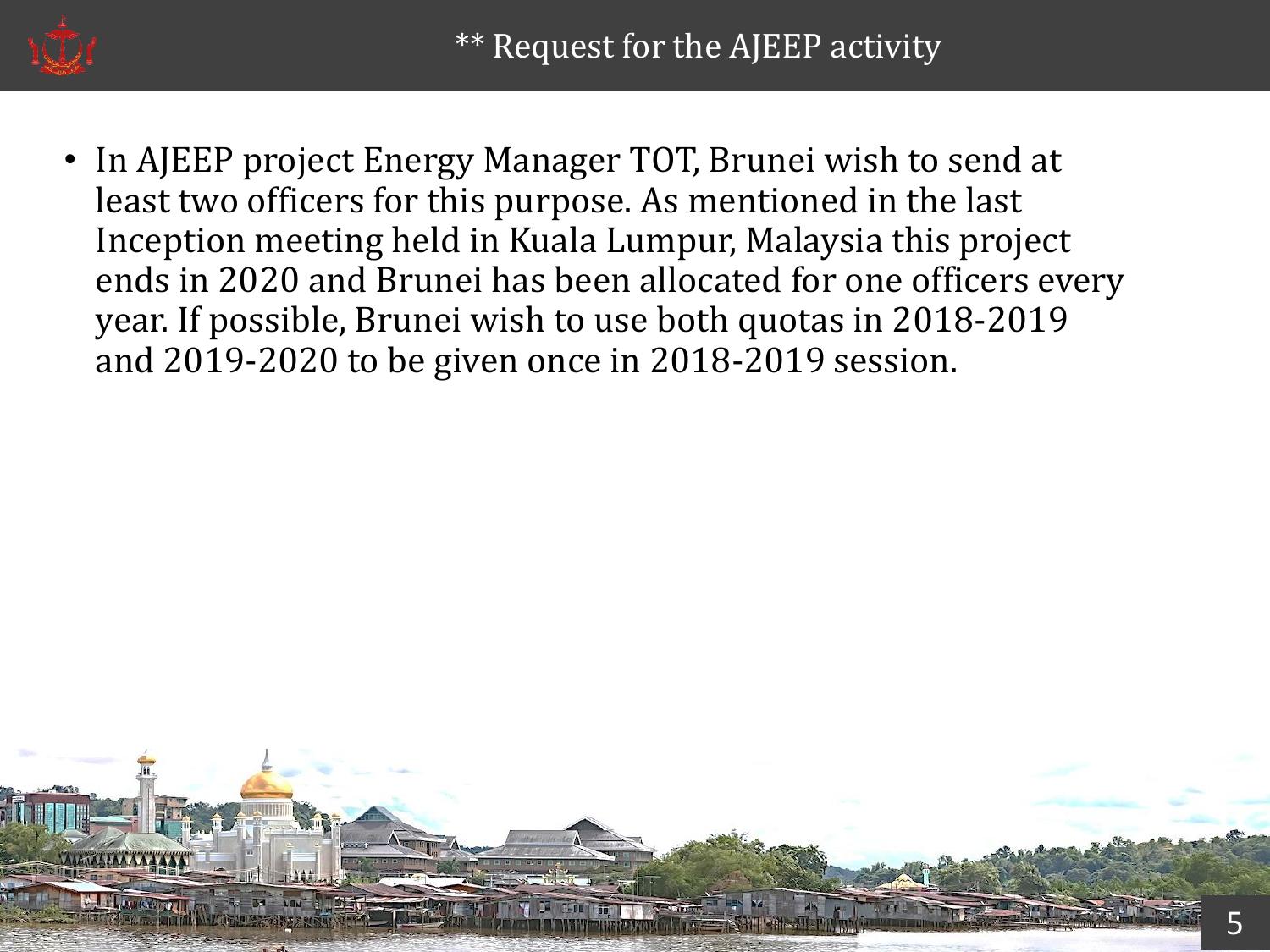

In AJEEP project Energy Manager TOT, Brunei wish to send at least two officers for this purpose. As mentioned in the last Inception meeting held in Kuala Lumpur, Malaysia this project ends in 2020 and Brunei has been allocated for one officers every year. If possible, Brunei wish to use both quotas in 2018-2019 and 2019-2020 to be given once in 2018-2019 session.